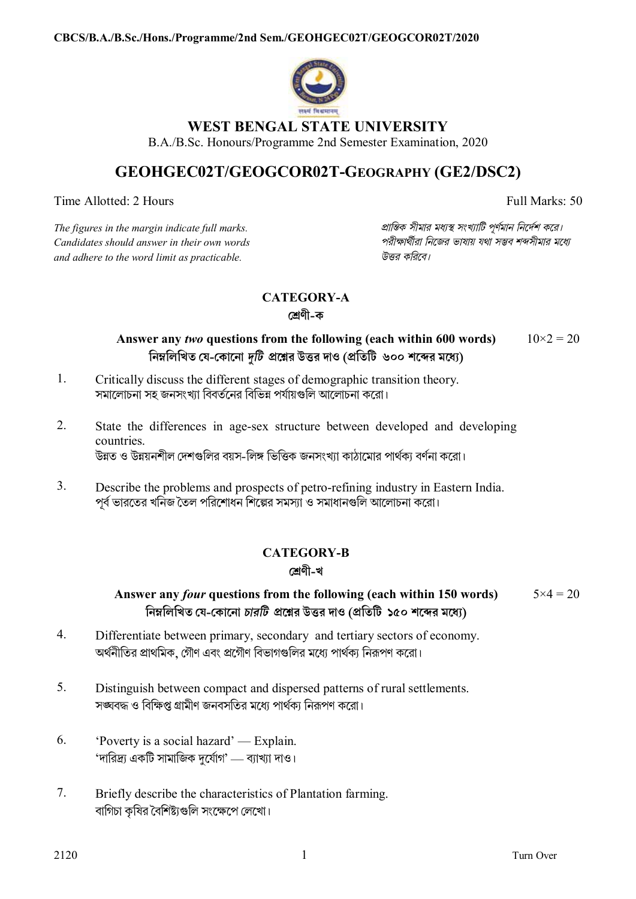

## **WEST BENGAL STATE UNIVERSITY**

B.A./B.Sc. Honours/Programme 2nd Semester Examination, 2020

# **GEOHGEC02T/GEOGCOR02T-GEOGRAPHY (GE2/DSC2)**

Time Allotted: 2 Hours Full Marks: 50

*The figures in the margin indicate full marks. pািnক সীমার মধ°s সংখ°ািট পূণমান িনেদশ কের। Candidates should answer in their own words পরীkাথীরা িনেজর ভাষায় যথা সmব শbসীমার মেধ° and adhere to the word limit as practicable. উtর কিরেব।*

# **CATEGORY-A**

**েËণী-ক**

#### **Answer any** *two* **questions from the following (each within 600 words) িনmিলিখত েয-েকােনা** *dিট* **pেűর উtর দাও (pিতিট ৬০০ শেbর মেধ°)**  $10\times2 = 20$

- 1. Critically discuss the different stages of demographic transition theory. সমালোচনা সহ জনসংখ্যা বিবর্তনের বিভিন্ন পর্যায়গুলি আলোচনা করো।
- 2. State the differences in age-sex structure between developed and developing countries. উন্নত ও উন্নয়নশীল দেশগুলির বয়স-লিঙ্গ ভিত্তিক জনসংখ্যা কাঠামাের পার্থকা বর্ণনা করাে।
- 3. Describe the problems and prospects of petro-refining industry in Eastern India. পূর্ব ভারতের খনিজ তৈল পরিশোধন শিল্পের সমস্যা ও সমাধানগুলি আলোচনা করো।

## **CATEGORY-B**

## **েËণী-খ**

#### **Answer any** *four* **questions from the following (each within 150 words) িনmিলিখত েয-েকােনা** *চারিট* **pেűর উtর দাও (pিতিট ১৫০ শেbর মেধ°)**  $5 \times 4 = 20$

- 4. Differentiate between primary, secondary and tertiary sectors of economy. অর্থনীতির প্রাথমিক, গৌণ এবং প্রগৌণ বিভাগগুলির মধ্যে পার্থক্য নিরূপণ করো।
- 5. Distinguish between compact and dispersed patterns of rural settlements. সঙ্ঘবদ্ধ ও বিক্ষিপ্ত গ্রামীণ জনবসতির মধ্যে পার্থক্য নিরূপণ করো।
- 6. 'Poverty is a social hazard' Explain. 'দারিদ্র্য একটি সামাজিক দুর্যোগ' — ব্যাখ্যা দাও।
- 7. Briefly describe the characteristics of Plantation farming. বাগিচা কৃষির বৈশিষ্ট্যগুলি সংক্ষেপে লেখাে।